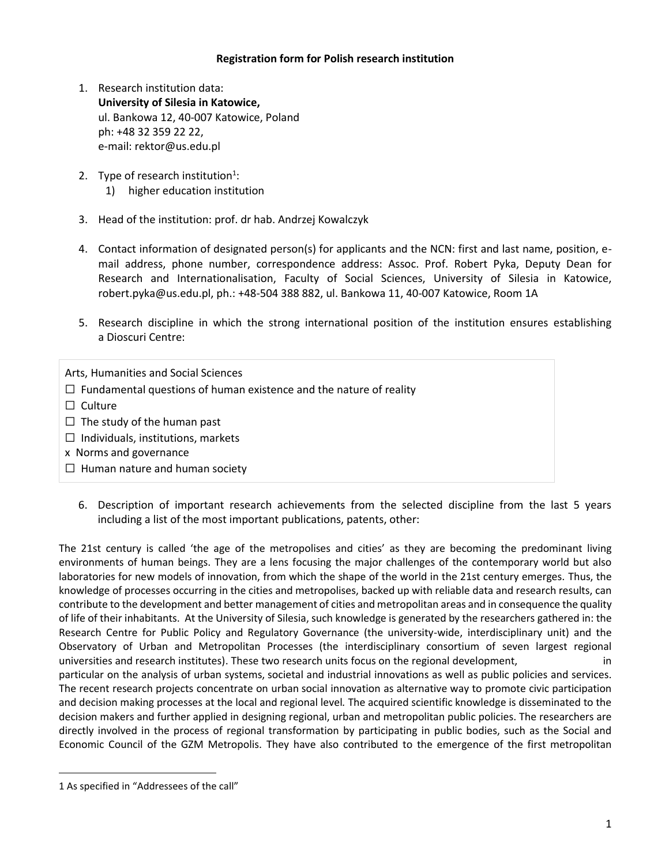#### **Registration form for Polish research institution**

- 1. Research institution data: **University of Silesia in Katowice,** ul. Bankowa 12, 40-007 Katowice, Poland ph: +48 32 359 22 22, e-mail: rektor@us.edu.pl
- 2. Type of research institution $1$ : 1) higher education institution
- 3. Head of the institution: prof. dr hab. Andrzej Kowalczyk
- 4. Contact information of designated person(s) for applicants and the NCN: first and last name, position, email address, phone number, correspondence address: Assoc. Prof. Robert Pyka, Deputy Dean for Research and Internationalisation, Faculty of Social Sciences, University of Silesia in Katowice, robert.pyka@us.edu.pl, ph.: +48-504 388 882, ul. Bankowa 11, 40-007 Katowice, Room 1A
- 5. Research discipline in which the strong international position of the institution ensures establishing a Dioscuri Centre:

Arts, Humanities and Social Sciences

 $\Box$  Fundamental questions of human existence and the nature of reality

- □ Culture
- $\Box$  The study of the human past
- $\Box$  Individuals, institutions, markets
- x Norms and governance
- $\Box$  Human nature and human society
	- 6. Description of important research achievements from the selected discipline from the last 5 years including a list of the most important publications, patents, other:

The 21st century is called 'the age of the metropolises and cities' as they are becoming the predominant living environments of human beings. They are a lens focusing the major challenges of the contemporary world but also laboratories for new models of innovation, from which the shape of the world in the 21st century emerges. Thus, the knowledge of processes occurring in the cities and metropolises, backed up with reliable data and research results, can contribute to the development and better management of cities and metropolitan areas and in consequence the quality of life of their inhabitants. At the University of Silesia, such knowledge is generated by the researchers gathered in: the Research Centre for Public Policy and Regulatory Governance (the university-wide, interdisciplinary unit) and the Observatory of Urban and Metropolitan Processes (the interdisciplinary consortium of seven largest regional universities and research institutes). These two research units focus on the regional development, in particular on the analysis of urban systems, societal and industrial innovations as well as public policies and services. The recent research projects concentrate on urban social innovation as alternative way to promote civic participation and decision making processes at the local and regional level*.* The acquired scientific knowledge is disseminated to the decision makers and further applied in designing regional, urban and metropolitan public policies. The researchers are directly involved in the process of regional transformation by participating in public bodies, such as the Social and

Economic Council of the GZM Metropolis. They have also contributed to the emergence of the first metropolitan

 $\overline{a}$ 

<sup>1</sup> As specified in "Addressees of the call"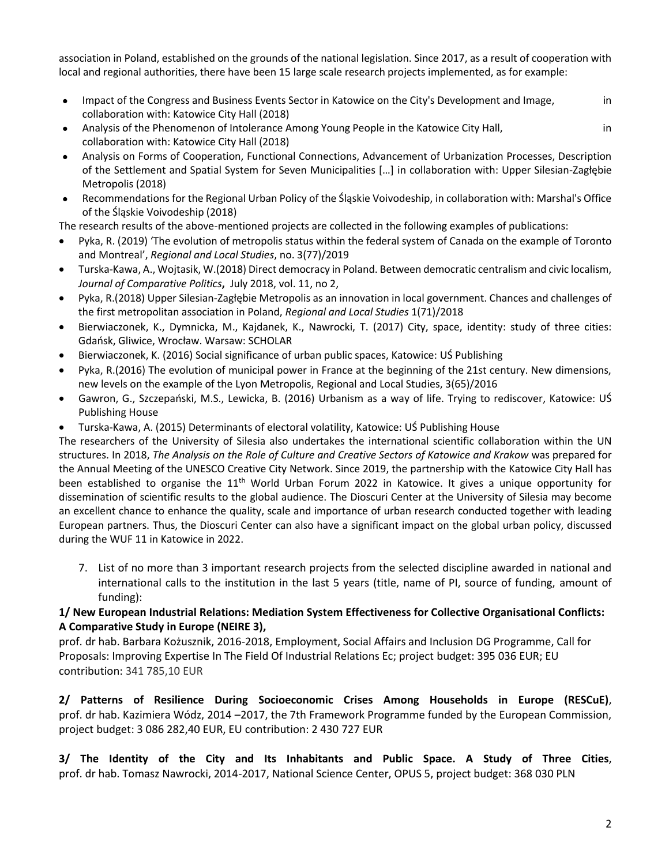association in Poland, established on the grounds of the national legislation. Since 2017, as a result of cooperation with local and regional authorities, there have been 15 large scale research projects implemented, as for example:

- Impact of the Congress and Business Events Sector in Katowice on the City's Development and Image, in collaboration with: Katowice City Hall (2018)
- Analysis of the Phenomenon of Intolerance Among Young People in the Katowice City Hall, in in collaboration with: Katowice City Hall (2018)
- Analysis on Forms of Cooperation, Functional Connections, Advancement of Urbanization Processes, Description of the Settlement and Spatial System for Seven Municipalities […] in collaboration with: Upper Silesian-Zagłębie Metropolis (2018)
- Recommendations for the Regional Urban Policy of the Śląskie Voivodeship, in collaboration with: Marshal's Office of the Śląskie Voivodeship (2018)

The research results of the above-mentioned projects are collected in the following examples of publications:

- Pyka, R. (2019) 'The evolution of metropolis status within the federal system of Canada on the example of Toronto and Montreal', *Regional and Local Studies*, no. 3(77)/2019
- Turska-Kawa, A., Wojtasik, W.(2018) Direct democracy in Poland. Between democratic centralism and civic localism, *Journal of Comparative Politics***,** July 2018, vol. 11, no 2,
- Pyka, R.(2018) Upper Silesian-Zagłębie Metropolis as an innovation in local government. Chances and challenges of the first metropolitan association in Poland, *Regional and Local Studies* 1(71)/2018
- Bierwiaczonek, K., Dymnicka, M., Kajdanek, K., Nawrocki, T. (2017) City, space, identity: study of three cities: Gdańsk, Gliwice, Wrocław. Warsaw: SCHOLAR
- Bierwiaczonek, K. (2016) Social significance of urban public spaces, Katowice: UŚ Publishing
- Pyka, R.(2016) The evolution of municipal power in France at the beginning of the 21st century. New dimensions, new levels on the example of the Lyon Metropolis, Regional and Local Studies, 3(65)/2016
- Gawron, G., Szczepański, M.S., Lewicka, B. (2016) Urbanism as a way of life. Trying to rediscover, Katowice: UŚ Publishing House
- Turska-Kawa, A. (2015) Determinants of electoral volatility, Katowice: UŚ Publishing House

The researchers of the University of Silesia also undertakes the international scientific collaboration within the UN structures. In 2018, *The Analysis on the Role of Culture and Creative Sectors of Katowice and Krakow* was prepared for the Annual Meeting of the UNESCO Creative City Network. Since 2019, the partnership with the Katowice City Hall has been established to organise the 11<sup>th</sup> World Urban Forum 2022 in Katowice. It gives a unique opportunity for dissemination of scientific results to the global audience. The Dioscuri Center at the University of Silesia may become an excellent chance to enhance the quality, scale and importance of urban research conducted together with leading European partners. Thus, the Dioscuri Center can also have a significant impact on the global urban policy, discussed during the WUF 11 in Katowice in 2022.

7. List of no more than 3 important research projects from the selected discipline awarded in national and international calls to the institution in the last 5 years (title, name of PI, source of funding, amount of funding):

# **1/ New European Industrial Relations: Mediation System Effectiveness for Collective Organisational Conflicts: A Comparative Study in Europe (NEIRE 3),**

prof. dr hab. Barbara Kożusznik, 2016-2018, Employment, Social Affairs and Inclusion DG Programme, Call for Proposals: Improving Expertise In The Field Of Industrial Relations Ec; project budget: 395 036 EUR; EU contribution: 341 785,10 EUR

**2/ Patterns of Resilience During Socioeconomic Crises Among Households in Europe (RESCuE)**, prof. dr hab. Kazimiera Wódz, 2014 –2017, the 7th Framework Programme funded by the European Commission, project budget: 3 086 282,40 EUR, EU contribution: 2 430 727 EUR

**3/ The Identity of the City and Its Inhabitants and Public Space. A Study of Three Cities**, prof. dr hab. Tomasz Nawrocki, 2014-2017, National Science Center, OPUS 5, project budget: 368 030 PLN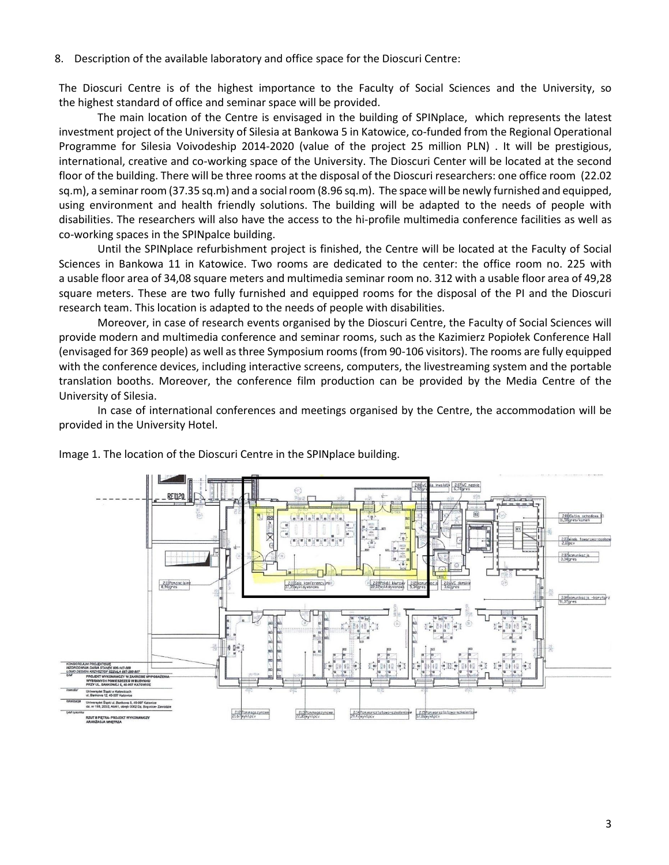8. Description of the available laboratory and office space for the Dioscuri Centre:

The Dioscuri Centre is of the highest importance to the Faculty of Social Sciences and the University, so the highest standard of office and seminar space will be provided.

The main location of the Centre is envisaged in the building of SPINplace, which represents the latest investment project of the University of Silesia at Bankowa 5 in Katowice, co-funded from the Regional Operational Programme for Silesia Voivodeship 2014-2020 (value of the project 25 million PLN) . It will be prestigious, international, creative and co-working space of the University. The Dioscuri Center will be located at the second floor of the building. There will be three rooms at the disposal of the Dioscuri researchers: one office room (22.02 sq.m), a seminar room (37.35 sq.m) and a social room (8.96 sq.m). The space will be newly furnished and equipped, using environment and health friendly solutions. The building will be adapted to the needs of people with disabilities. The researchers will also have the access to the hi-profile multimedia conference facilities as well as co-working spaces in the SPINpalce building.

Until the SPINplace refurbishment project is finished, the Centre will be located at the Faculty of Social Sciences in Bankowa 11 in Katowice. Two rooms are dedicated to the center: the office room no. 225 with a usable floor area of 34,08 square meters and multimedia seminar room no. 312 with a usable floor area of 49,28 square meters. These are two fully furnished and equipped rooms for the disposal of the PI and the Dioscuri research team. This location is adapted to the needs of people with disabilities.

Moreover, in case of research events organised by the Dioscuri Centre, the Faculty of Social Sciences will provide modern and multimedia conference and seminar rooms, such as the Kazimierz Popiołek Conference Hall (envisaged for 369 people) as well as three Symposium rooms (from 90-106 visitors). The rooms are fully equipped with the conference devices, including interactive screens, computers, the livestreaming system and the portable translation booths. Moreover, the conference film production can be provided by the Media Centre of the University of Silesia.

In case of international conferences and meetings organised by the Centre, the accommodation will be provided in the University Hotel.



Image 1. The location of the Dioscuri Centre in the SPINplace building.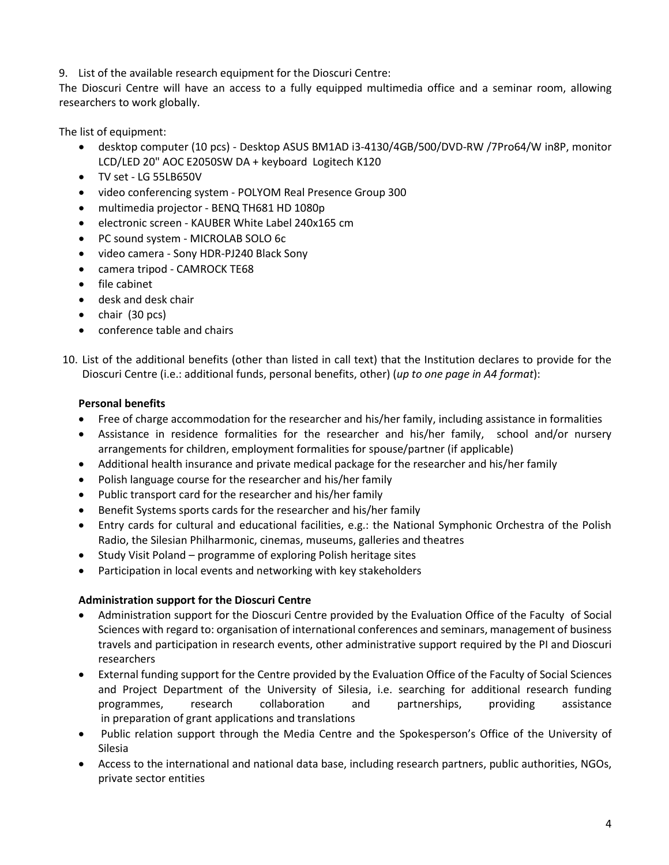# 9. List of the available research equipment for the Dioscuri Centre:

The Dioscuri Centre will have an access to a fully equipped multimedia office and a seminar room, allowing researchers to work globally.

The list of equipment:

- desktop computer (10 pcs) Desktop ASUS BM1AD i3-4130/4GB/500/DVD-RW /7Pro64/W in8P, monitor LCD/LED 20" AOC E2050SW DA + keyboard Logitech K120
- TV set LG 55LB650V
- video conferencing system POLYOM Real Presence Group 300
- multimedia projector BENQ TH681 HD 1080p
- electronic screen KAUBER White Label 240x165 cm
- PC sound system MICROLAB SOLO 6c
- video camera Sony HDR-PJ240 Black Sony
- camera tripod CAMROCK TE68
- file cabinet
- desk and desk chair
- $\bullet$  chair (30 pcs)
- conference table and chairs
- 10. List of the additional benefits (other than listed in call text) that the Institution declares to provide for the Dioscuri Centre (i.e.: additional funds, personal benefits, other) (*up to one page in A4 format*):

### **Personal benefits**

- Free of charge accommodation for the researcher and his/her family, including assistance in formalities
- Assistance in residence formalities for the researcher and his/her family, school and/or nursery arrangements for children, employment formalities for spouse/partner (if applicable)
- Additional health insurance and private medical package for the researcher and his/her family
- Polish language course for the researcher and his/her family
- Public transport card for the researcher and his/her family
- Benefit Systems sports cards for the researcher and his/her family
- Entry cards for cultural and educational facilities, e.g.: the National Symphonic Orchestra of the Polish Radio, the Silesian Philharmonic, cinemas, museums, galleries and theatres
- Study Visit Poland programme of exploring Polish heritage sites
- Participation in local events and networking with key stakeholders

#### **Administration support for the Dioscuri Centre**

- Administration support for the Dioscuri Centre provided by the Evaluation Office of the Faculty of Social Sciences with regard to: organisation of international conferences and seminars, management of business travels and participation in research events, other administrative support required by the PI and Dioscuri researchers
- External funding support for the Centre provided by the Evaluation Office of the Faculty of Social Sciences and Project Department of the University of Silesia, i.e. searching for additional research funding programmes, research collaboration and partnerships, providing assistance in preparation of grant applications and translations
- Public relation support through the Media Centre and the Spokesperson's Office of the University of Silesia
- Access to the international and national data base, including research partners, public authorities, NGOs, private sector entities